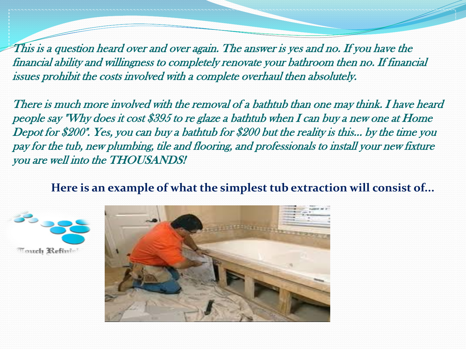This is a question heard over and over again. The answer is yes and no. If you have the financial ability and willingness to completely renovate your bathroom then no. If financial issues prohibit the costs involved with a complete overhaul then absolutely.

There is much more involved with the removal of a bathtub than one may think. I have heard people say "Why does it cost \$395 to re glaze a bathtub when I can buy a new one at Home Depot for \$200". Yes, you can buy a bathtub for \$200 but the reality is this... by the time you pay for the tub, new plumbing, tile and flooring, and professionals to install your new fixture you are well into the THOUSANDS!

 **Here is an example of what the simplest tub extraction will consist of...**



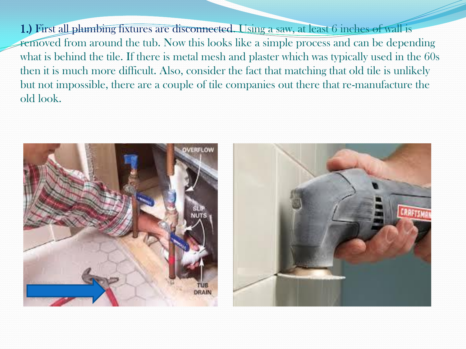1.) First all plumbing fixtures are disconnected. Using a saw, at least 6 inches of wall is removed from around the tub. Now this looks like a simple process and can be depending what is behind the tile. If there is metal mesh and plaster which was typically used in the 60s then it is much more difficult. Also, consider the fact that matching that old tile is unlikely but not impossible, there are a couple of tile companies out there that re-manufacture the old look.

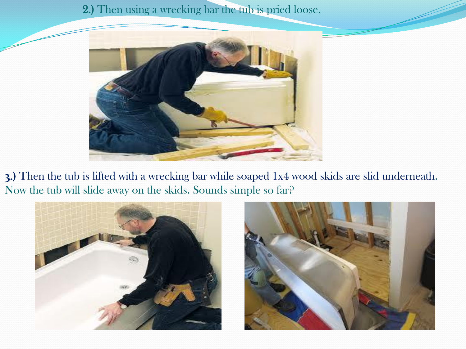## 2.) Then using a wrecking bar the tub is pried loose.



**3**.) Then the tub is lifted with a wrecking bar while soaped 1x4 wood skids are slid underneath. Now the tub will slide away on the skids. Sounds simple so far?

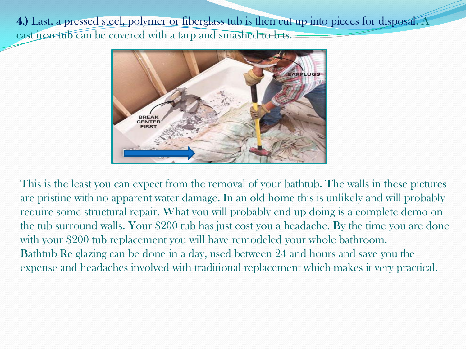4.) Last, a pressed steel, polymer or fiberglass tub is then cut up into pieces for disposal. A cast iron tub can be covered with a tarp and smashed to bits.



This is the least you can expect from the removal of your bathtub. The walls in these pictures are pristine with no apparent water damage. In an old home this is unlikely and will probably require some structural repair. What you will probably end up doing is a complete demo on the tub surround walls. Your \$200 tub has just cost you a headache. By the time you are done with your \$200 tub replacement you will have remodeled your whole bathroom. Bathtub Re glazing can be done in a day, used between 24 and hours and save you the expense and headaches involved with traditional replacement which makes it very practical.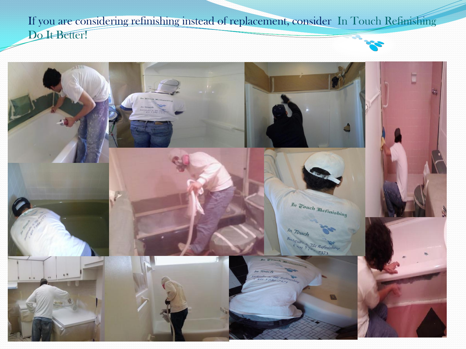If you are considering refinishing instead of replacement, consider In Touch Refinishing Do It Better!

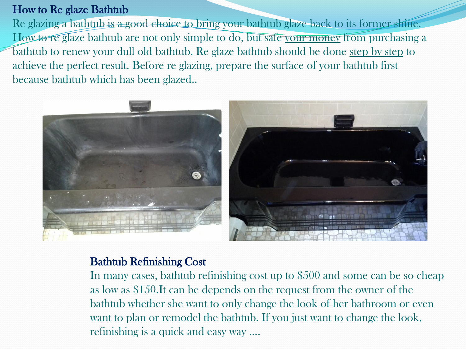## How to Re glaze Bathtub

Re glazing a bathtub is a good choice to bring your bathtub glaze back to its former shine. How to reglaze bathtub are not only simple to do, but safe your money from purchasing a bathtub to renew your dull old bathtub. Re glaze bathtub should be done step by step to achieve the perfect result. Before re glazing, prepare the surface of your bathtub first because bathtub which has been glazed..



## Bathtub Refinishing Cost

In many cases, bathtub refinishing cost up to \$500 and some can be so cheap as low as \$150.It can be depends on the request from the owner of the bathtub whether she want to only change the look of her bathroom or even want to plan or remodel the bathtub. If you just want to change the look, refinishing is a quick and easy way ….